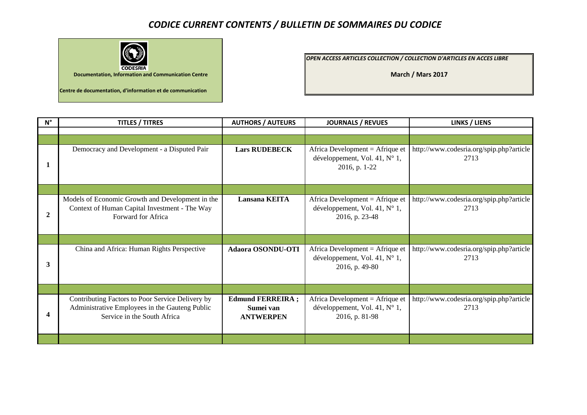## *CODICE CURRENT CONTENTS / BULLETIN DE SOMMAIRES DU CODICE*



*OPEN ACCESS ARTICLES COLLECTION / COLLECTION D'ARTICLES EN ACCES LIBRE* 

**March / Mars 2017**

| $N^{\circ}$      | <b>TITLES / TITRES</b>                                                                                                            | <b>AUTHORS / AUTEURS</b>                                 | <b>JOURNALS / REVUES</b>                                                                       | <b>LINKS / LIENS</b>                             |
|------------------|-----------------------------------------------------------------------------------------------------------------------------------|----------------------------------------------------------|------------------------------------------------------------------------------------------------|--------------------------------------------------|
|                  |                                                                                                                                   |                                                          |                                                                                                |                                                  |
|                  |                                                                                                                                   |                                                          |                                                                                                |                                                  |
| 1                | Democracy and Development - a Disputed Pair                                                                                       | <b>Lars RUDEBECK</b>                                     | Africa Development = $A$ frique et<br>développement, Vol. 41, N° 1,<br>2016, p. 1-22           | http://www.codesria.org/spip.php?article<br>2713 |
|                  |                                                                                                                                   |                                                          |                                                                                                |                                                  |
| $\boldsymbol{2}$ | Models of Economic Growth and Development in the<br>Context of Human Capital Investment - The Way<br>Forward for Africa           | <b>Lansana KEITA</b>                                     | Africa Development = $A$ frique et<br>développement, Vol. 41, N° 1,<br>2016, p. 23-48          | http://www.codesria.org/spip.php?article<br>2713 |
|                  |                                                                                                                                   |                                                          |                                                                                                |                                                  |
| 3                | China and Africa: Human Rights Perspective                                                                                        | <b>Adaora OSONDU-OTI</b>                                 | Africa Development = $A$ frique et<br>développement, Vol. 41, $N^{\circ}$ 1,<br>2016, p. 49-80 | http://www.codesria.org/spip.php?article<br>2713 |
|                  |                                                                                                                                   |                                                          |                                                                                                |                                                  |
| 4                | Contributing Factors to Poor Service Delivery by<br>Administrative Employees in the Gauteng Public<br>Service in the South Africa | <b>Edmund FERREIRA;</b><br>Sumei van<br><b>ANTWERPEN</b> | Africa Development = $A$ frique et<br>développement, Vol. 41, N° 1,<br>2016, p. 81-98          | http://www.codesria.org/spip.php?article<br>2713 |
|                  |                                                                                                                                   |                                                          |                                                                                                |                                                  |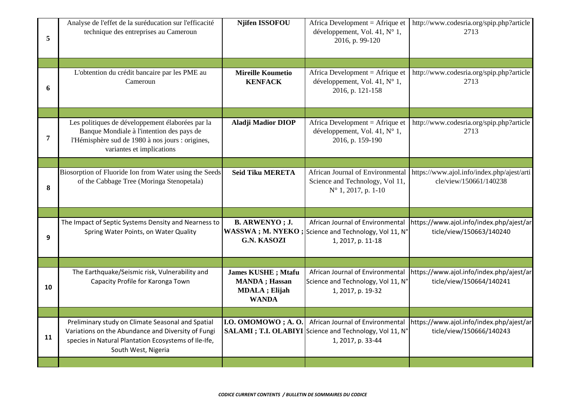| 5  | Analyse de l'effet de la suréducation sur l'efficacité<br>technique des entreprises au Cameroun                                                                                        | <b>Njifen ISSOFOU</b>                                                                        | Africa Development = Afrique et<br>développement, Vol. 41, N° 1,<br>2016, p. 99-120                               | http://www.codesria.org/spip.php?article<br>2713                     |
|----|----------------------------------------------------------------------------------------------------------------------------------------------------------------------------------------|----------------------------------------------------------------------------------------------|-------------------------------------------------------------------------------------------------------------------|----------------------------------------------------------------------|
|    |                                                                                                                                                                                        |                                                                                              |                                                                                                                   |                                                                      |
| 6  | L'obtention du crédit bancaire par les PME au<br>Cameroun                                                                                                                              | <b>Mireille Koumetio</b><br><b>KENFACK</b>                                                   | Africa Development = $A$ frique et<br>développement, Vol. 41, N° 1,<br>2016, p. 121-158                           | http://www.codesria.org/spip.php?article<br>2713                     |
|    |                                                                                                                                                                                        |                                                                                              |                                                                                                                   |                                                                      |
| 7  | Les politiques de développement élaborées par la<br>Banque Mondiale à l'intention des pays de<br>l'Hémisphère sud de 1980 à nos jours : origines,<br>variantes et implications         | <b>Aladji Madior DIOP</b>                                                                    | Africa Development = Afrique et<br>développement, Vol. 41, N° 1,<br>2016, p. 159-190                              | http://www.codesria.org/spip.php?article<br>2713                     |
|    |                                                                                                                                                                                        |                                                                                              |                                                                                                                   |                                                                      |
| 8  | Biosorption of Fluoride Ion from Water using the Seeds<br>of the Cabbage Tree (Moringa Stenopetala)                                                                                    | <b>Seid Tiku MERETA</b>                                                                      | African Journal of Environmental<br>Science and Technology, Vol 11,<br>$N^{\circ}$ 1, 2017, p. 1-10               | https://www.ajol.info/index.php/ajest/arti<br>cle/view/150661/140238 |
|    |                                                                                                                                                                                        |                                                                                              |                                                                                                                   |                                                                      |
| 9  | The Impact of Septic Systems Density and Nearness to<br>Spring Water Points, on Water Quality                                                                                          | <b>B. ARWENYO</b> ; J.<br><b>G.N. KASOZI</b>                                                 | African Journal of Environmental<br>WASSWA; M. NYEKO; Science and Technology, Vol 11, N°<br>1, 2017, p. 11-18     | https://www.ajol.info/index.php/ajest/ar<br>ticle/view/150663/140240 |
|    |                                                                                                                                                                                        |                                                                                              |                                                                                                                   |                                                                      |
| 10 | The Earthquake/Seismic risk, Vulnerability and<br>Capacity Profile for Karonga Town                                                                                                    | <b>James KUSHE</b> ; Mtafu<br><b>MANDA</b> ; Hassan<br><b>MDALA</b> ; Elijah<br><b>WANDA</b> | African Journal of Environmental<br>Science and Technology, Vol 11, N°<br>1, 2017, p. 19-32                       | https://www.ajol.info/index.php/ajest/ar<br>ticle/view/150664/140241 |
|    |                                                                                                                                                                                        |                                                                                              |                                                                                                                   |                                                                      |
| 11 | Preliminary study on Climate Seasonal and Spatial<br>Variations on the Abundance and Diversity of Fungi<br>species in Natural Plantation Ecosystems of Ile-Ife,<br>South West, Nigeria | I.O. OMOMOWO; A.O.                                                                           | African Journal of Environmental<br>SALAMI ; T.I. OLABIYI Science and Technology, Vol 11, N°<br>1, 2017, p. 33-44 | https://www.ajol.info/index.php/ajest/ar<br>ticle/view/150666/140243 |
|    |                                                                                                                                                                                        |                                                                                              |                                                                                                                   |                                                                      |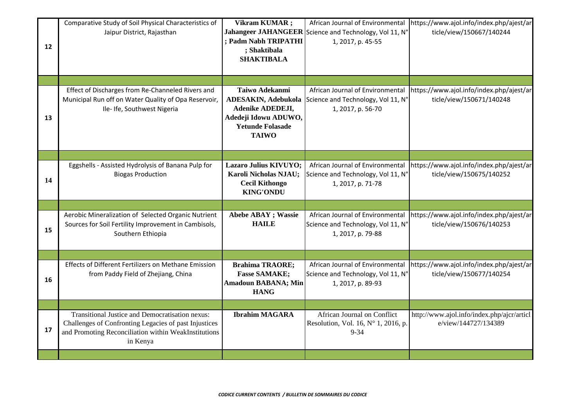| 12 | Comparative Study of Soil Physical Characteristics of<br>Jaipur District, Rajasthan                                                                                          | Vikram KUMAR;<br>; Padm Nabh TRIPATHI<br>; Shaktibala<br><b>SHAKTIBALA</b>                                                                 | African Journal of Environmental<br>Jahangeer JAHANGEER Science and Technology, Vol 11, N°<br>1, 2017, p. 45-55 | https://www.ajol.info/index.php/ajest/ar<br>ticle/view/150667/140244 |
|----|------------------------------------------------------------------------------------------------------------------------------------------------------------------------------|--------------------------------------------------------------------------------------------------------------------------------------------|-----------------------------------------------------------------------------------------------------------------|----------------------------------------------------------------------|
|    |                                                                                                                                                                              |                                                                                                                                            |                                                                                                                 |                                                                      |
| 13 | Effect of Discharges from Re-Channeled Rivers and<br>Municipal Run off on Water Quality of Opa Reservoir,<br>Ile-Ife, Southwest Nigeria                                      | Taiwo Adekanmi<br><b>ADESAKIN, Adebukola</b><br><b>Adenike ADEDEJI,</b><br>Adedeji Idowu ADUWO,<br><b>Yetunde Folasade</b><br><b>TAIWO</b> | African Journal of Environmental<br>Science and Technology, Vol 11, N°<br>1, 2017, p. 56-70                     | https://www.ajol.info/index.php/ajest/ar<br>ticle/view/150671/140248 |
|    |                                                                                                                                                                              |                                                                                                                                            |                                                                                                                 |                                                                      |
| 14 | Eggshells - Assisted Hydrolysis of Banana Pulp for<br><b>Biogas Production</b>                                                                                               | Lazaro Julius KIVUYO;<br>Karoli Nicholas NJAU;<br><b>Cecil Kithongo</b><br><b>KING'ONDU</b>                                                | African Journal of Environmental<br>Science and Technology, Vol 11, N°<br>1, 2017, p. 71-78                     | https://www.ajol.info/index.php/ajest/ar<br>ticle/view/150675/140252 |
|    |                                                                                                                                                                              |                                                                                                                                            |                                                                                                                 |                                                                      |
| 15 | Aerobic Mineralization of Selected Organic Nutrient<br>Sources for Soil Fertility Improvement in Cambisols,<br>Southern Ethiopia                                             | <b>Abebe ABAY</b> ; Wassie<br><b>HAILE</b>                                                                                                 | African Journal of Environmental<br>Science and Technology, Vol 11, N°<br>1, 2017, p. 79-88                     | https://www.ajol.info/index.php/ajest/ar<br>ticle/view/150676/140253 |
|    |                                                                                                                                                                              |                                                                                                                                            |                                                                                                                 |                                                                      |
| 16 | Effects of Different Fertilizers on Methane Emission<br>from Paddy Field of Zhejiang, China                                                                                  | <b>Brahima TRAORE;</b><br><b>Fasse SAMAKE;</b><br><b>Amadoun BABANA; Min</b><br><b>HANG</b>                                                | African Journal of Environmental<br>Science and Technology, Vol 11, N°<br>1, 2017, p. 89-93                     | https://www.ajol.info/index.php/ajest/ar<br>ticle/view/150677/140254 |
|    |                                                                                                                                                                              |                                                                                                                                            |                                                                                                                 |                                                                      |
| 17 | Transitional Justice and Democratisation nexus:<br>Challenges of Confronting Legacies of past Injustices<br>and Promoting Reconciliation within WeakInstitutions<br>in Kenya | <b>Ibrahim MAGARA</b>                                                                                                                      | African Journal on Conflict<br>Resolution, Vol. 16, $N^{\circ}$ 1, 2016, p.<br>$9 - 34$                         | http://www.ajol.info/index.php/ajcr/articl<br>e/view/144727/134389   |
|    |                                                                                                                                                                              |                                                                                                                                            |                                                                                                                 |                                                                      |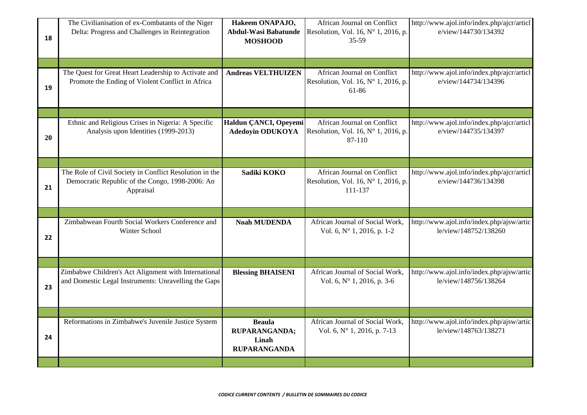|    | The Civilianisation of ex-Combatants of the Niger       | Hakeem ONAPAJO,             | African Journal on Conflict                  | http://www.ajol.info/index.php/ajcr/articl |
|----|---------------------------------------------------------|-----------------------------|----------------------------------------------|--------------------------------------------|
|    | Delta: Progress and Challenges in Reintegration         | <b>Abdul-Wasi Babatunde</b> | Resolution, Vol. 16, $N^{\circ}$ 1, 2016, p. | e/view/144730/134392                       |
| 18 |                                                         | <b>MOSHOOD</b>              | 35-59                                        |                                            |
|    |                                                         |                             |                                              |                                            |
|    |                                                         |                             |                                              |                                            |
|    | The Quest for Great Heart Leadership to Activate and    | <b>Andreas VELTHUIZEN</b>   | African Journal on Conflict                  | http://www.ajol.info/index.php/ajcr/articl |
|    | Promote the Ending of Violent Conflict in Africa        |                             | Resolution, Vol. 16, N° 1, 2016, p.          | e/view/144734/134396                       |
| 19 |                                                         |                             | 61-86                                        |                                            |
|    |                                                         |                             |                                              |                                            |
|    |                                                         |                             |                                              |                                            |
|    |                                                         |                             |                                              |                                            |
|    | Ethnic and Religious Crises in Nigeria: A Specific      | Haldun ÇANCI, Opeyemi       | African Journal on Conflict                  | http://www.ajol.info/index.php/ajcr/articl |
|    | Analysis upon Identities (1999-2013)                    | <b>Adedoyin ODUKOYA</b>     | Resolution, Vol. 16, N° 1, 2016, p.          | e/view/144735/134397                       |
| 20 |                                                         |                             | 87-110                                       |                                            |
|    |                                                         |                             |                                              |                                            |
|    |                                                         |                             |                                              |                                            |
|    | The Role of Civil Society in Conflict Resolution in the | Sadiki KOKO                 | African Journal on Conflict                  | http://www.ajol.info/index.php/ajcr/articl |
|    | Democratic Republic of the Congo, 1998-2006: An         |                             | Resolution, Vol. 16, Nº 1, 2016, p.          | e/view/144736/134398                       |
| 21 | Appraisal                                               |                             | 111-137                                      |                                            |
|    |                                                         |                             |                                              |                                            |
|    |                                                         |                             |                                              |                                            |
|    | Zimbabwean Fourth Social Workers Conference and         | <b>Noah MUDENDA</b>         | African Journal of Social Work,              | http://www.ajol.info/index.php/ajsw/artic  |
|    | Winter School                                           |                             | Vol. 6, N° 1, 2016, p. 1-2                   | le/view/148752/138260                      |
| 22 |                                                         |                             |                                              |                                            |
|    |                                                         |                             |                                              |                                            |
|    |                                                         |                             |                                              |                                            |
|    | Zimbabwe Children's Act Alignment with International    | <b>Blessing BHAISENI</b>    | African Journal of Social Work,              | http://www.ajol.info/index.php/ajsw/artic  |
|    | and Domestic Legal Instruments: Unravelling the Gaps    |                             | Vol. 6, N° 1, 2016, p. 3-6                   | le/view/148756/138264                      |
| 23 |                                                         |                             |                                              |                                            |
|    |                                                         |                             |                                              |                                            |
|    |                                                         |                             |                                              |                                            |
|    | Reformations in Zimbabwe's Juvenile Justice System      | <b>Beaula</b>               | African Journal of Social Work,              | http://www.ajol.info/index.php/ajsw/artic  |
|    |                                                         | RUPARANGANDA;               | Vol. 6, N° 1, 2016, p. 7-13                  | le/view/148763/138271                      |
| 24 |                                                         | Linah                       |                                              |                                            |
|    |                                                         | <b>RUPARANGANDA</b>         |                                              |                                            |
|    |                                                         |                             |                                              |                                            |
|    |                                                         |                             |                                              |                                            |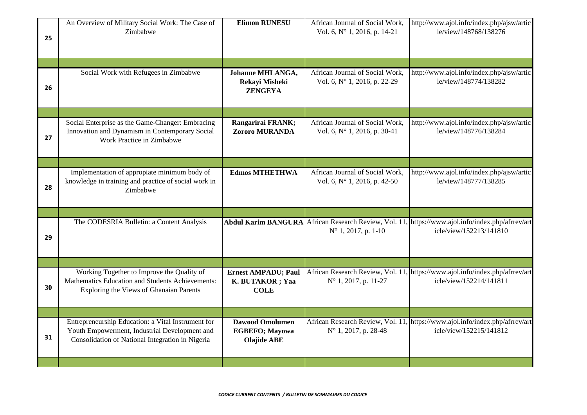| 25 | An Overview of Military Social Work: The Case of<br>Zimbabwe                                                                                            | <b>Elimon RUNESU</b>                                                  | African Journal of Social Work,<br>Vol. 6, N° 1, 2016, p. 14-21 | http://www.ajol.info/index.php/ajsw/artic<br>le/view/148768/138276                                                          |
|----|---------------------------------------------------------------------------------------------------------------------------------------------------------|-----------------------------------------------------------------------|-----------------------------------------------------------------|-----------------------------------------------------------------------------------------------------------------------------|
|    |                                                                                                                                                         |                                                                       |                                                                 |                                                                                                                             |
| 26 | Social Work with Refugees in Zimbabwe                                                                                                                   | Johanne MHLANGA,<br>Rekayi Misheki<br><b>ZENGEYA</b>                  | African Journal of Social Work,<br>Vol. 6, N° 1, 2016, p. 22-29 | http://www.ajol.info/index.php/ajsw/artic<br>le/view/148774/138282                                                          |
|    |                                                                                                                                                         |                                                                       |                                                                 |                                                                                                                             |
| 27 | Social Enterprise as the Game-Changer: Embracing<br>Innovation and Dynamism in Contemporary Social<br>Work Practice in Zimbabwe                         | Rangarirai FRANK;<br>Zororo MURANDA                                   | African Journal of Social Work,<br>Vol. 6, N° 1, 2016, p. 30-41 | http://www.ajol.info/index.php/ajsw/artic<br>le/view/148776/138284                                                          |
|    |                                                                                                                                                         |                                                                       |                                                                 |                                                                                                                             |
| 28 | Implementation of appropiate minimum body of<br>knowledge in training and practice of social work in<br>Zimbabwe                                        | <b>Edmos MTHETHWA</b>                                                 | African Journal of Social Work,<br>Vol. 6, N° 1, 2016, p. 42-50 | http://www.ajol.info/index.php/ajsw/artic<br>le/view/148777/138285                                                          |
|    |                                                                                                                                                         |                                                                       |                                                                 |                                                                                                                             |
| 29 | The CODESRIA Bulletin: a Content Analysis                                                                                                               |                                                                       | $N^{\circ}$ 1, 2017, p. 1-10                                    | Abdul Karim BANGURA African Research Review, Vol. 11, https://www.ajol.info/index.php/afrrev/art<br>icle/view/152213/141810 |
|    |                                                                                                                                                         |                                                                       |                                                                 |                                                                                                                             |
| 30 | Working Together to Improve the Quality of<br>Mathematics Education and Students Achievements:<br>Exploring the Views of Ghanaian Parents               | <b>Ernest AMPADU; Paul</b><br>K. BUTAKOR ; Yaa<br><b>COLE</b>         | $N^{\circ}$ 1, 2017, p. 11-27                                   | African Research Review, Vol. 11, https://www.ajol.info/index.php/afrrev/art<br>icle/view/152214/141811                     |
|    |                                                                                                                                                         |                                                                       |                                                                 |                                                                                                                             |
| 31 | Entrepreneurship Education: a Vital Instrument for<br>Youth Empowerment, Industrial Development and<br>Consolidation of National Integration in Nigeria | <b>Dawood Omolumen</b><br><b>EGBEFO; Mayowa</b><br><b>Olajide ABE</b> | N° 1, 2017, p. 28-48                                            | African Research Review, Vol. 11, https://www.ajol.info/index.php/afrrev/art<br>icle/view/152215/141812                     |
|    |                                                                                                                                                         |                                                                       |                                                                 |                                                                                                                             |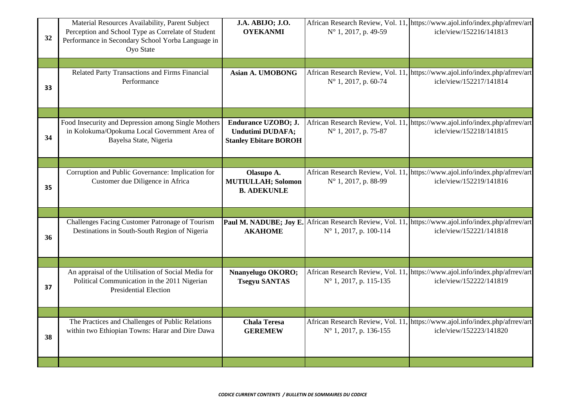| 32 | Material Resources Availability, Parent Subject<br>Perception and School Type as Correlate of Student<br>Performance in Secondary School Yorba Language in<br>Oyo State | J.A. ABIJO; J.O.<br><b>OYEKANMI</b>                                            | N° 1, 2017, p. 49-59   | African Research Review, Vol. 11, https://www.ajol.info/index.php/afrrev/art<br>icle/view/152216/141813                        |
|----|-------------------------------------------------------------------------------------------------------------------------------------------------------------------------|--------------------------------------------------------------------------------|------------------------|--------------------------------------------------------------------------------------------------------------------------------|
|    |                                                                                                                                                                         |                                                                                |                        |                                                                                                                                |
| 33 | Related Party Transactions and Firms Financial<br>Performance                                                                                                           | Asian A. UMOBONG                                                               | N° 1, 2017, p. 60-74   | African Research Review, Vol. 11, https://www.ajol.info/index.php/afrrev/art<br>icle/view/152217/141814                        |
|    |                                                                                                                                                                         |                                                                                |                        |                                                                                                                                |
| 34 | Food Insecurity and Depression among Single Mothers<br>in Kolokuma/Opokuma Local Government Area of<br>Bayelsa State, Nigeria                                           | Endurance UZOBO; J.<br><b>Undutimi DUDAFA;</b><br><b>Stanley Ebitare BOROH</b> | N° 1, 2017, p. 75-87   | African Research Review, Vol. 11, https://www.ajol.info/index.php/afrrev/art<br>icle/view/152218/141815                        |
|    |                                                                                                                                                                         |                                                                                |                        |                                                                                                                                |
| 35 | Corruption and Public Governance: Implication for<br>Customer due Diligence in Africa                                                                                   | Olasupo A.<br><b>MUTIULLAH; Solomon</b><br><b>B. ADEKUNLE</b>                  | N° 1, 2017, p. 88-99   | African Research Review, Vol. 11, https://www.ajol.info/index.php/afrrev/art<br>icle/view/152219/141816                        |
|    |                                                                                                                                                                         |                                                                                |                        |                                                                                                                                |
| 36 | Challenges Facing Customer Patronage of Tourism<br>Destinations in South-South Region of Nigeria                                                                        | <b>AKAHOME</b>                                                                 | N° 1, 2017, p. 100-114 | Paul M. NADUBE; Joy E. African Research Review, Vol. 11, https://www.ajol.info/index.php/afrrev/art<br>icle/view/152221/141818 |
|    |                                                                                                                                                                         |                                                                                |                        |                                                                                                                                |
| 37 | An appraisal of the Utilisation of Social Media for<br>Political Communication in the 2011 Nigerian<br><b>Presidential Election</b>                                     | Nnanyelugo OKORO;<br><b>Tsegyu SANTAS</b>                                      | N° 1, 2017, p. 115-135 | African Research Review, Vol. 11, https://www.ajol.info/index.php/afrrev/art<br>icle/view/152222/141819                        |
|    |                                                                                                                                                                         |                                                                                |                        |                                                                                                                                |
| 38 | The Practices and Challenges of Public Relations<br>within two Ethiopian Towns: Harar and Dire Dawa                                                                     | <b>Chala Teresa</b><br><b>GEREMEW</b>                                          | N° 1, 2017, p. 136-155 | African Research Review, Vol. 11, https://www.ajol.info/index.php/afrrev/art<br>icle/view/152223/141820                        |
|    |                                                                                                                                                                         |                                                                                |                        |                                                                                                                                |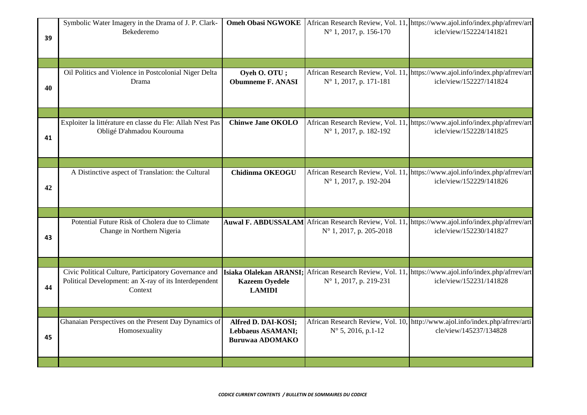| 39 | Symbolic Water Imagery in the Drama of J. P. Clark-<br>Bekederemo                                                         | <b>Omeh Obasi NGWOKE</b>                                                  | N° 1, 2017, p. 156-170           | African Research Review, Vol. 11, https://www.ajol.info/index.php/afrrev/art<br>icle/view/152224/141821                         |
|----|---------------------------------------------------------------------------------------------------------------------------|---------------------------------------------------------------------------|----------------------------------|---------------------------------------------------------------------------------------------------------------------------------|
|    |                                                                                                                           |                                                                           |                                  |                                                                                                                                 |
| 40 | Oil Politics and Violence in Postcolonial Niger Delta<br>Drama                                                            | Oyeh O. OTU;<br><b>Obumneme F. ANASI</b>                                  | $N^{\circ}$ 1, 2017, p. 171-181  | African Research Review, Vol. 11, https://www.ajol.info/index.php/afrrev/art<br>icle/view/152227/141824                         |
|    |                                                                                                                           |                                                                           |                                  |                                                                                                                                 |
| 41 | Exploiter la littérature en classe du Fle: Allah N'est Pas<br>Obligé D'ahmadou Kourouma                                   | <b>Chinwe Jane OKOLO</b>                                                  | N° 1, 2017, p. 182-192           | African Research Review, Vol. 11, https://www.ajol.info/index.php/afrrev/art<br>icle/view/152228/141825                         |
|    |                                                                                                                           |                                                                           |                                  |                                                                                                                                 |
| 42 | A Distinctive aspect of Translation: the Cultural                                                                         | <b>Chidinma OKEOGU</b>                                                    | N° 1, 2017, p. 192-204           | African Research Review, Vol. 11, https://www.ajol.info/index.php/afrrev/art<br>icle/view/152229/141826                         |
|    |                                                                                                                           |                                                                           |                                  |                                                                                                                                 |
| 43 | Potential Future Risk of Cholera due to Climate<br>Change in Northern Nigeria                                             |                                                                           | $N^{\circ}$ 1, 2017, p. 205-2018 | Auwal F. ABDUSSALAM African Research Review, Vol. 11, https://www.ajol.info/index.php/afrrev/art<br>icle/view/152230/141827     |
|    |                                                                                                                           |                                                                           |                                  |                                                                                                                                 |
| 44 | Civic Political Culture, Participatory Governance and<br>Political Development: an X-ray of its Interdependent<br>Context | <b>Kazeem Oyedele</b><br><b>LAMIDI</b>                                    | N° 1, 2017, p. 219-231           | Isiaka Olalekan ARANSI; African Research Review, Vol. 11, https://www.ajol.info/index.php/afrrev/art<br>icle/view/152231/141828 |
|    |                                                                                                                           |                                                                           |                                  |                                                                                                                                 |
| 45 | Ghanaian Perspectives on the Present Day Dynamics of<br>Homosexuality                                                     | Alfred D. DAI-KOSI;<br><b>Lebbaeus ASAMANI;</b><br><b>Buruwaa ADOMAKO</b> | $N^{\circ}$ 5, 2016, p.1-12      | African Research Review, Vol. 10, http://www.ajol.info/index.php/afrrev/arti<br>cle/view/145237/134828                          |
|    |                                                                                                                           |                                                                           |                                  |                                                                                                                                 |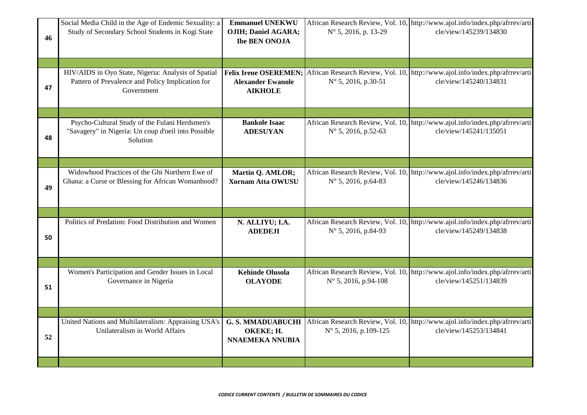|    | Social Media Child in the Age of Endemic Sexuality: a                                                                 | <b>Emmanuel UNEKWU</b>                                          |                                                                     | African Research Review, Vol. 10, http://www.ajol.info/index.php/afrrev/arti                                                 |
|----|-----------------------------------------------------------------------------------------------------------------------|-----------------------------------------------------------------|---------------------------------------------------------------------|------------------------------------------------------------------------------------------------------------------------------|
| 46 | Study of Secondary School Students in Kogi State                                                                      | <b>OJIH; Daniel AGARA;</b><br><b>Ibe BEN ONOJA</b>              | N° 5, 2016, p. 13-29                                                | cle/view/145239/134830                                                                                                       |
|    |                                                                                                                       |                                                                 |                                                                     |                                                                                                                              |
|    |                                                                                                                       |                                                                 |                                                                     |                                                                                                                              |
| 47 | HIV/AIDS in Oyo State, Nigeria: Analysis of Spatial<br>Pattern of Prevalence and Policy Implication for<br>Government | <b>Alexander Ewanole</b><br><b>AIKHOLE</b>                      | $N^{\circ}$ 5, 2016, p.30-51                                        | Felix Irene OSEREMEN; African Research Review, Vol. 10, http://www.ajol.info/index.php/afrrev/arti<br>cle/view/145240/134831 |
|    |                                                                                                                       |                                                                 |                                                                     |                                                                                                                              |
| 48 | Psycho-Cultural Study of the Fulani Herdsmen's<br>"Savagery" in Nigeria: Un coup d'oeil into Possible<br>Solution     | <b>Bankole Isaac</b><br><b>ADESUYAN</b>                         | African Research Review, Vol. 10,<br>$N^{\circ}$ 5, 2016, p.52-63   | http://www.ajol.info/index.php/afrrev/arti<br>cle/view/145241/135051                                                         |
|    |                                                                                                                       |                                                                 |                                                                     |                                                                                                                              |
| 49 | Widowhood Practices of the Gbi Northern Ewe of<br>Ghana: a Curse or Blessing for African Womanhood?                   | Martin Q. AMLOR;<br><b>Xornam Atta OWUSU</b>                    | N° 5, 2016, p.64-83                                                 | African Research Review, Vol. 10, http://www.ajol.info/index.php/afrrev/arti<br>cle/view/145246/134836                       |
|    |                                                                                                                       |                                                                 |                                                                     |                                                                                                                              |
| 50 | Politics of Predation: Food Distribution and Women                                                                    | N. ALLIYU; I.A.<br><b>ADEDEJI</b>                               | N° 5, 2016, p.84-93                                                 | African Research Review, Vol. 10, http://www.ajol.info/index.php/afrrev/arti<br>cle/view/145249/134838                       |
|    |                                                                                                                       |                                                                 |                                                                     |                                                                                                                              |
| 51 | Women's Participation and Gender Issues in Local<br>Governance in Nigeria                                             | <b>Kehinde Olusola</b><br><b>OLAYODE</b>                        | $N^{\circ}$ 5, 2016, p.94-108                                       | African Research Review, Vol. 10, http://www.ajol.info/index.php/afrrev/arti<br>cle/view/145251/134839                       |
|    |                                                                                                                       |                                                                 |                                                                     |                                                                                                                              |
| 52 | United Nations and Multilateralism: Appraising USA's<br>Unilateralism in World Affairs                                | <b>G. S. MMADUABUCHI</b><br>OKEKE; H.<br><b>NNAEMEKA NNUBIA</b> | African Research Review, Vol. 10,<br>$N^{\circ}$ 5, 2016, p.109-125 | http://www.ajol.info/index.php/afrrev/arti<br>cle/view/145253/134841                                                         |
|    |                                                                                                                       |                                                                 |                                                                     |                                                                                                                              |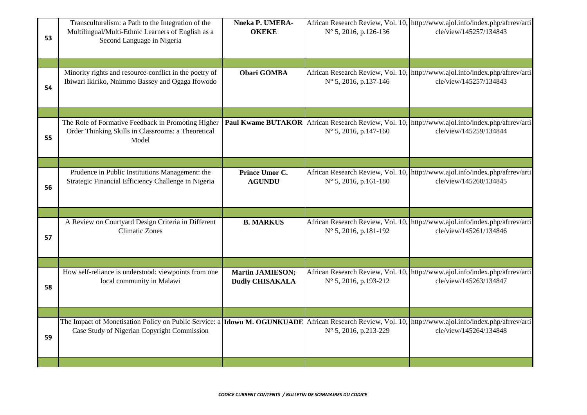| 53 | Transculturalism: a Path to the Integration of the<br>Multilingual/Multi-Ethnic Learners of English as a<br>Second Language in Nigeria                            | Nneka P. UMERA-<br><b>OKEKE</b>                   | $N^{\circ}$ 5, 2016, p.126-136                                                | African Research Review, Vol. 10, http://www.ajol.info/index.php/afrrev/arti<br>cle/view/145257/134843 |
|----|-------------------------------------------------------------------------------------------------------------------------------------------------------------------|---------------------------------------------------|-------------------------------------------------------------------------------|--------------------------------------------------------------------------------------------------------|
|    |                                                                                                                                                                   |                                                   |                                                                               |                                                                                                        |
| 54 | Minority rights and resource-conflict in the poetry of<br>Ibiwari Ikiriko, Nnimmo Bassey and Ogaga Ifowodo                                                        | <b>Obari GOMBA</b>                                | N° 5, 2016, p.137-146                                                         | African Research Review, Vol. 10, http://www.ajol.info/index.php/afrrev/arti<br>cle/view/145257/134843 |
|    |                                                                                                                                                                   |                                                   |                                                                               |                                                                                                        |
| 55 | The Role of Formative Feedback in Promoting Higher<br>Order Thinking Skills in Classrooms: a Theoretical<br>Model                                                 |                                                   | Paul Kwame BUTAKOR African Research Review, Vol. 10,<br>N° 5, 2016, p.147-160 | http://www.ajol.info/index.php/afrrev/arti<br>cle/view/145259/134844                                   |
|    |                                                                                                                                                                   |                                                   |                                                                               |                                                                                                        |
| 56 | Prudence in Public Institutions Management: the<br>Strategic Financial Efficiency Challenge in Nigeria                                                            | Prince Umor C.<br><b>AGUNDU</b>                   | African Research Review, Vol. 10,<br>$N^{\circ}$ 5, 2016, p.161-180           | http://www.ajol.info/index.php/afrrev/arti<br>cle/view/145260/134845                                   |
|    |                                                                                                                                                                   |                                                   |                                                                               |                                                                                                        |
| 57 | A Review on Courtyard Design Criteria in Different<br><b>Climatic Zones</b>                                                                                       | <b>B. MARKUS</b>                                  | N° 5, 2016, p.181-192                                                         | African Research Review, Vol. 10, http://www.ajol.info/index.php/afrrev/arti<br>cle/view/145261/134846 |
|    |                                                                                                                                                                   |                                                   |                                                                               |                                                                                                        |
| 58 | How self-reliance is understood: viewpoints from one<br>local community in Malawi                                                                                 | <b>Martin JAMIESON;</b><br><b>Dudly CHISAKALA</b> | African Research Review, Vol. 10,<br>$N^{\circ}$ 5, 2016, p.193-212           | http://www.ajol.info/index.php/afrrev/arti<br>cle/view/145263/134847                                   |
|    |                                                                                                                                                                   |                                                   |                                                                               |                                                                                                        |
| 59 | The Impact of Monetisation Policy on Public Service: a <b>Idowu M. OGUNKUADE</b> African Research Review, Vol. 10,<br>Case Study of Nigerian Copyright Commission |                                                   | $N^{\circ}$ 5, 2016, p.213-229                                                | http://www.ajol.info/index.php/afrrev/arti<br>cle/view/145264/134848                                   |
|    |                                                                                                                                                                   |                                                   |                                                                               |                                                                                                        |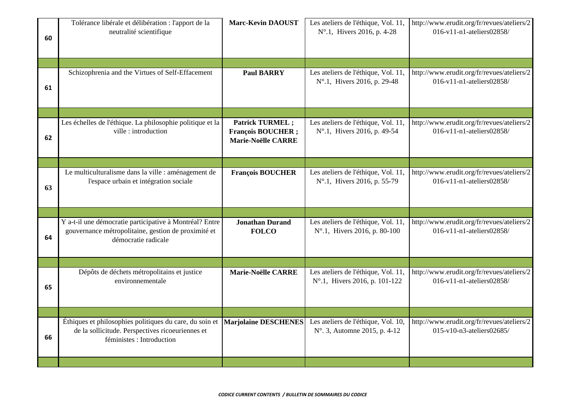| 60 | Tolérance libérale et délibération : l'apport de la<br>neutralité scientifique                                                           | <b>Marc-Kevin DAOUST</b>                                                        | Les ateliers de l'éthique, Vol. 11,<br>N°.1, Hivers 2016, p. 4-28    | http://www.erudit.org/fr/revues/ateliers/2<br>016-v11-n1-ateliers02858/ |
|----|------------------------------------------------------------------------------------------------------------------------------------------|---------------------------------------------------------------------------------|----------------------------------------------------------------------|-------------------------------------------------------------------------|
|    |                                                                                                                                          |                                                                                 |                                                                      |                                                                         |
| 61 | Schizophrenia and the Virtues of Self-Effacement                                                                                         | <b>Paul BARRY</b>                                                               | Les ateliers de l'éthique, Vol. 11,<br>N°.1, Hivers 2016, p. 29-48   | http://www.erudit.org/fr/revues/ateliers/2<br>016-v11-n1-ateliers02858/ |
|    |                                                                                                                                          |                                                                                 |                                                                      |                                                                         |
| 62 | Les échelles de l'éthique. La philosophie politique et la<br>ville: introduction                                                         | <b>Patrick TURMEL;</b><br><b>François BOUCHER;</b><br><b>Marie-Noëlle CARRE</b> | Les ateliers de l'éthique, Vol. 11,<br>N°.1, Hivers 2016, p. 49-54   | http://www.erudit.org/fr/revues/ateliers/2<br>016-v11-n1-ateliers02858/ |
|    |                                                                                                                                          |                                                                                 |                                                                      |                                                                         |
| 63 | Le multiculturalisme dans la ville : aménagement de<br>l'espace urbain et intégration sociale                                            | <b>François BOUCHER</b>                                                         | Les ateliers de l'éthique, Vol. 11,<br>N°.1, Hivers 2016, p. 55-79   | http://www.erudit.org/fr/revues/ateliers/2<br>016-v11-n1-ateliers02858/ |
|    |                                                                                                                                          |                                                                                 |                                                                      |                                                                         |
| 64 | Y a-t-il une démocratie participative à Montréal? Entre<br>gouvernance métropolitaine, gestion de proximité et<br>démocratie radicale    | <b>Jonathan Durand</b><br><b>FOLCO</b>                                          | Les ateliers de l'éthique, Vol. 11,<br>N°.1, Hivers 2016, p. 80-100  | http://www.erudit.org/fr/revues/ateliers/2<br>016-v11-n1-ateliers02858/ |
|    |                                                                                                                                          |                                                                                 |                                                                      |                                                                         |
| 65 | Dépôts de déchets métropolitains et justice<br>environnementale                                                                          | Marie-Noëlle CARRE                                                              | Les ateliers de l'éthique, Vol. 11,<br>N°.1, Hivers 2016, p. 101-122 | http://www.erudit.org/fr/revues/ateliers/2<br>016-v11-n1-ateliers02858/ |
|    |                                                                                                                                          |                                                                                 |                                                                      |                                                                         |
| 66 | Éthiques et philosophies politiques du care, du soin et<br>de la sollicitude. Perspectives ricoeuriennes et<br>féministes : Introduction | <b>Marjolaine DESCHENES</b>                                                     | Les ateliers de l'éthique, Vol. 10,<br>N° 3, Automne 2015, p. 4-12   | http://www.erudit.org/fr/revues/ateliers/2<br>015-v10-n3-ateliers02685/ |
|    |                                                                                                                                          |                                                                                 |                                                                      |                                                                         |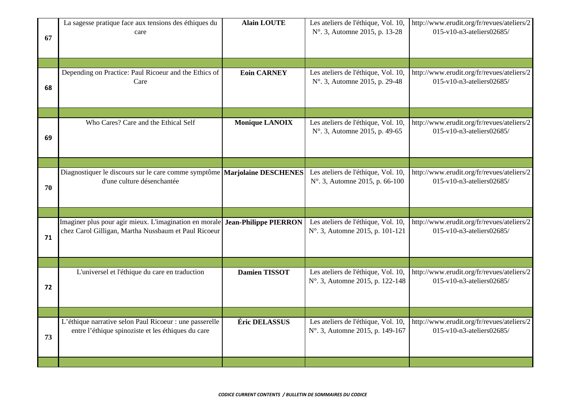| 67 | La sagesse pratique face aux tensions des éthiques du<br>care                                                                               | <b>Alain LOUTE</b>    | Les ateliers de l'éthique, Vol. 10,<br>N° 3, Automne 2015, p. 13-28   | http://www.erudit.org/fr/revues/ateliers/2<br>015-v10-n3-ateliers02685/ |
|----|---------------------------------------------------------------------------------------------------------------------------------------------|-----------------------|-----------------------------------------------------------------------|-------------------------------------------------------------------------|
|    |                                                                                                                                             |                       |                                                                       |                                                                         |
| 68 | Depending on Practice: Paul Ricoeur and the Ethics of<br>Care                                                                               | <b>Eoin CARNEY</b>    | Les ateliers de l'éthique, Vol. 10,<br>N° 3, Automne 2015, p. 29-48   | http://www.erudit.org/fr/revues/ateliers/2<br>015-v10-n3-ateliers02685/ |
|    |                                                                                                                                             |                       |                                                                       |                                                                         |
| 69 | Who Cares? Care and the Ethical Self                                                                                                        | <b>Monique LANOIX</b> | Les ateliers de l'éthique, Vol. 10,<br>N°. 3, Automne 2015, p. 49-65  | http://www.erudit.org/fr/revues/ateliers/2<br>015-v10-n3-ateliers02685/ |
|    |                                                                                                                                             |                       |                                                                       |                                                                         |
| 70 | Diagnostiquer le discours sur le care comme symptôme Marjolaine DESCHENES<br>d'une culture désenchantée                                     |                       | Les ateliers de l'éthique, Vol. 10,<br>N° 3, Automne 2015, p. 66-100  | http://www.erudit.org/fr/revues/ateliers/2<br>015-v10-n3-ateliers02685/ |
|    |                                                                                                                                             |                       |                                                                       |                                                                         |
| 71 | Imaginer plus pour agir mieux. L'imagination en morale <b>Jean-Philippe PIERRON</b><br>chez Carol Gilligan, Martha Nussbaum et Paul Ricoeur |                       | Les ateliers de l'éthique, Vol. 10,<br>N° 3, Automne 2015, p. 101-121 | http://www.erudit.org/fr/revues/ateliers/2<br>015-v10-n3-ateliers02685/ |
|    |                                                                                                                                             |                       |                                                                       |                                                                         |
| 72 | L'universel et l'éthique du care en traduction                                                                                              | <b>Damien TISSOT</b>  | Les ateliers de l'éthique, Vol. 10,<br>N° 3, Automne 2015, p. 122-148 | http://www.erudit.org/fr/revues/ateliers/2<br>015-v10-n3-ateliers02685/ |
|    |                                                                                                                                             |                       |                                                                       |                                                                         |
| 73 | L'éthique narrative selon Paul Ricoeur : une passerelle<br>entre l'éthique spinoziste et les éthiques du care                               | Éric DELASSUS         | Les ateliers de l'éthique, Vol. 10,<br>N° 3, Automne 2015, p. 149-167 | http://www.erudit.org/fr/revues/ateliers/2<br>015-v10-n3-ateliers02685/ |
|    |                                                                                                                                             |                       |                                                                       |                                                                         |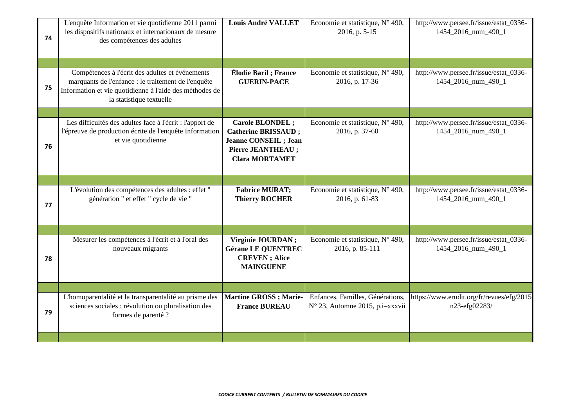| 74 | L'enquête Information et vie quotidienne 2011 parmi<br>les dispositifs nationaux et internationaux de mesure<br>des compétences des adultes                                                   | <b>Louis André VALLET</b>                                                                                                                  | Economie et statistique, N° 490,<br>2016, p. 5-15                   | http://www.persee.fr/issue/estat_0336-<br>1454_2016_num_490_1 |
|----|-----------------------------------------------------------------------------------------------------------------------------------------------------------------------------------------------|--------------------------------------------------------------------------------------------------------------------------------------------|---------------------------------------------------------------------|---------------------------------------------------------------|
|    |                                                                                                                                                                                               |                                                                                                                                            |                                                                     |                                                               |
| 75 | Compétences à l'écrit des adultes et événements<br>marquants de l'enfance : le traitement de l'enquête<br>Information et vie quotidienne à l'aide des méthodes de<br>la statistique textuelle | Élodie Baril; France<br><b>GUERIN-PACE</b>                                                                                                 | Economie et statistique, N° 490,<br>2016, p. 17-36                  | http://www.persee.fr/issue/estat_0336-<br>1454_2016_num_490_1 |
|    |                                                                                                                                                                                               |                                                                                                                                            |                                                                     |                                                               |
| 76 | Les difficultés des adultes face à l'écrit : l'apport de<br>l'épreuve de production écrite de l'enquête Information<br>et vie quotidienne                                                     | <b>Carole BLONDEL;</b><br><b>Catherine BRISSAUD;</b><br><b>Jeanne CONSEIL</b> ; Jean<br><b>Pierre JEANTHEAU ;</b><br><b>Clara MORTAMET</b> | Economie et statistique, N° 490,<br>2016, p. 37-60                  | http://www.persee.fr/issue/estat_0336-<br>1454_2016_num_490_1 |
|    |                                                                                                                                                                                               |                                                                                                                                            |                                                                     |                                                               |
| 77 | L'évolution des compétences des adultes : effet "<br>génération " et effet " cycle de vie "                                                                                                   | <b>Fabrice MURAT;</b><br><b>Thierry ROCHER</b>                                                                                             | Economie et statistique, N° 490,<br>2016, p. 61-83                  | http://www.persee.fr/issue/estat_0336-<br>1454_2016_num_490_1 |
|    |                                                                                                                                                                                               |                                                                                                                                            |                                                                     |                                                               |
| 78 | Mesurer les compétences à l'écrit et à l'oral des<br>nouveaux migrants                                                                                                                        | Virginie JOURDAN;<br><b>Gérane LE QUENTREC</b><br><b>CREVEN</b> ; Alice<br><b>MAINGUENE</b>                                                | Economie et statistique, N° 490,<br>2016, p. 85-111                 | http://www.persee.fr/issue/estat_0336-<br>1454_2016_num_490_1 |
|    |                                                                                                                                                                                               |                                                                                                                                            |                                                                     |                                                               |
| 79 | L'homoparentalité et la transparentalité au prisme des<br>sciences sociales : révolution ou pluralisation des<br>formes de parenté ?                                                          | <b>Martine GROSS</b> ; Marie-<br><b>France BUREAU</b>                                                                                      | Enfances, Familles, Générations,<br>N° 23, Automne 2015, p.i-xxxvii | https://www.erudit.org/fr/revues/efg/2015-<br>n23-efg02283/   |
|    |                                                                                                                                                                                               |                                                                                                                                            |                                                                     |                                                               |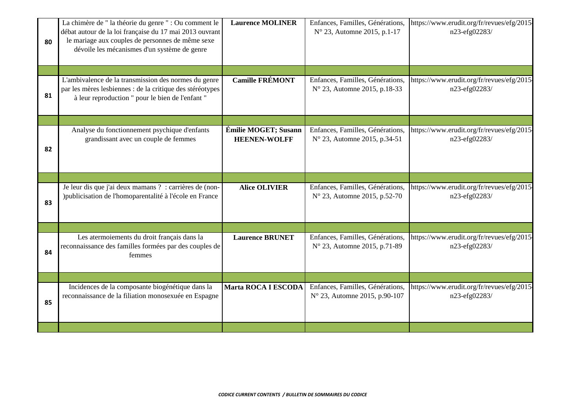| 80 | La chimère de " la théorie du genre " : Ou comment le<br>débat autour de la loi française du 17 mai 2013 ouvrant<br>le mariage aux couples de personnes de même sexe<br>dévoile les mécanismes d'un système de genre | <b>Laurence MOLINER</b>                     | Enfances, Familles, Générations,<br>$N^{\circ}$ 23, Automne 2015, p.1-17   | https://www.erudit.org/fr/revues/efg/2015-<br>n23-efg02283/ |
|----|----------------------------------------------------------------------------------------------------------------------------------------------------------------------------------------------------------------------|---------------------------------------------|----------------------------------------------------------------------------|-------------------------------------------------------------|
|    |                                                                                                                                                                                                                      |                                             |                                                                            |                                                             |
| 81 | L'ambivalence de la transmission des normes du genre<br>par les mères lesbiennes : de la critique des stéréotypes<br>à leur reproduction " pour le bien de l'enfant "                                                | <b>Camille FRÉMONT</b>                      | Enfances, Familles, Générations,<br>N° 23, Automne 2015, p.18-33           | https://www.erudit.org/fr/revues/efg/2015-<br>n23-efg02283/ |
|    |                                                                                                                                                                                                                      |                                             |                                                                            |                                                             |
| 82 | Analyse du fonctionnement psychique d'enfants<br>grandissant avec un couple de femmes                                                                                                                                | Émilie MOGET; Susann<br><b>HEENEN-WOLFF</b> | Enfances, Familles, Générations,<br>N° 23, Automne 2015, p.34-51           | https://www.erudit.org/fr/revues/efg/2015-<br>n23-efg02283/ |
|    |                                                                                                                                                                                                                      |                                             |                                                                            |                                                             |
| 83 | Je leur dis que j'ai deux mamans ? : carrières de (non-<br>) publicisation de l'homoparentalité à l'école en France                                                                                                  | <b>Alice OLIVIER</b>                        | Enfances, Familles, Générations,<br>N° 23, Automne 2015, p.52-70           | https://www.erudit.org/fr/revues/efg/2015-<br>n23-efg02283/ |
|    |                                                                                                                                                                                                                      |                                             |                                                                            |                                                             |
| 84 | Les atermoiements du droit français dans la<br>reconnaissance des familles formées par des couples de<br>femmes                                                                                                      | <b>Laurence BRUNET</b>                      | Enfances, Familles, Générations,<br>N° 23, Automne 2015, p.71-89           | https://www.erudit.org/fr/revues/efg/2015-<br>n23-efg02283/ |
|    |                                                                                                                                                                                                                      |                                             |                                                                            |                                                             |
| 85 | Incidences de la composante biogénétique dans la<br>reconnaissance de la filiation monosexuée en Espagne                                                                                                             | <b>Marta ROCA I ESCODA</b>                  | Enfances, Familles, Générations,<br>$N^{\circ}$ 23, Automne 2015, p.90-107 | https://www.erudit.org/fr/revues/efg/2015-<br>n23-efg02283/ |
|    |                                                                                                                                                                                                                      |                                             |                                                                            |                                                             |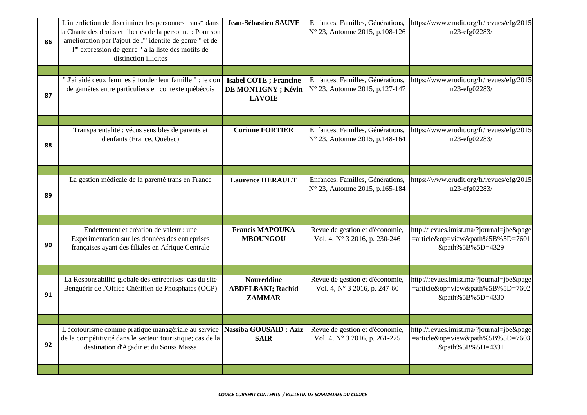| 86 | L'interdiction de discriminer les personnes trans* dans<br>la Charte des droits et libertés de la personne : Pour son<br>amélioration par l'ajout de l'" identité de genre " et de<br>l'" expression de genre " à la liste des motifs de<br>distinction illicites | <b>Jean-Sébastien SAUVE</b>                                           | Enfances, Familles, Générations,<br>N° 23, Automne 2015, p.108-126 | https://www.erudit.org/fr/revues/efg/2015-<br>n23-efg02283/                                      |
|----|-------------------------------------------------------------------------------------------------------------------------------------------------------------------------------------------------------------------------------------------------------------------|-----------------------------------------------------------------------|--------------------------------------------------------------------|--------------------------------------------------------------------------------------------------|
|    |                                                                                                                                                                                                                                                                   |                                                                       |                                                                    |                                                                                                  |
| 87 | " J'ai aidé deux femmes à fonder leur famille " : le don<br>de gamètes entre particuliers en contexte québécois                                                                                                                                                   | <b>Isabel COTE</b> ; Francine<br>DE MONTIGNY ; Kévin<br><b>LAVOIE</b> | Enfances, Familles, Générations,<br>N° 23, Automne 2015, p.127-147 | https://www.erudit.org/fr/revues/efg/2015-<br>n23-efg02283/                                      |
|    |                                                                                                                                                                                                                                                                   |                                                                       |                                                                    |                                                                                                  |
| 88 | Transparentalité : vécus sensibles de parents et<br>d'enfants (France, Québec)                                                                                                                                                                                    | <b>Corinne FORTIER</b>                                                | Enfances, Familles, Générations,<br>N° 23, Automne 2015, p.148-164 | https://www.erudit.org/fr/revues/efg/2015-<br>n23-efg02283/                                      |
|    |                                                                                                                                                                                                                                                                   |                                                                       |                                                                    |                                                                                                  |
| 89 | La gestion médicale de la parenté trans en France                                                                                                                                                                                                                 | <b>Laurence HERAULT</b>                                               | Enfances, Familles, Générations,<br>N° 23, Automne 2015, p.165-184 | https://www.erudit.org/fr/revues/efg/2015-<br>n23-efg02283/                                      |
|    |                                                                                                                                                                                                                                                                   |                                                                       |                                                                    |                                                                                                  |
| 90 | Endettement et création de valeur : une<br>Expérimentation sur les données des entreprises<br>françaises ayant des filiales en Afrique Centrale                                                                                                                   | <b>Francis MAPOUKA</b><br><b>MBOUNGOU</b>                             | Revue de gestion et d'économie,<br>Vol. 4, N° 3 2016, p. 230-246   | http://revues.imist.ma/?journal=jbe&page<br>=article&op=view&path%5B%5D=7601<br>&path%5B%5D=4329 |
|    |                                                                                                                                                                                                                                                                   |                                                                       |                                                                    |                                                                                                  |
| 91 | La Responsabilité globale des entreprises: cas du site<br>Benguérir de l'Office Chérifien de Phosphates (OCP)                                                                                                                                                     | <b>Noureddine</b><br><b>ABDELBAKI; Rachid</b><br><b>ZAMMAR</b>        | Revue de gestion et d'économie,<br>Vol. 4, Nº 3 2016, p. 247-60    | http://revues.imist.ma/?journal=jbe&page<br>=article&op=view&path%5B%5D=7602<br>&path%5B%5D=4330 |
|    |                                                                                                                                                                                                                                                                   |                                                                       |                                                                    |                                                                                                  |
| 92 | L'écotourisme comme pratique managériale au service<br>de la compétitivité dans le secteur touristique; cas de la<br>destination d'Agadir et du Souss Massa                                                                                                       | Nassiba GOUSAID; Aziz<br><b>SAIR</b>                                  | Revue de gestion et d'économie,<br>Vol. 4, N° 3 2016, p. 261-275   | http://revues.imist.ma/?journal=jbe&page<br>=article&op=view&path%5B%5D=7603<br>&path%5B%5D=4331 |
|    |                                                                                                                                                                                                                                                                   |                                                                       |                                                                    |                                                                                                  |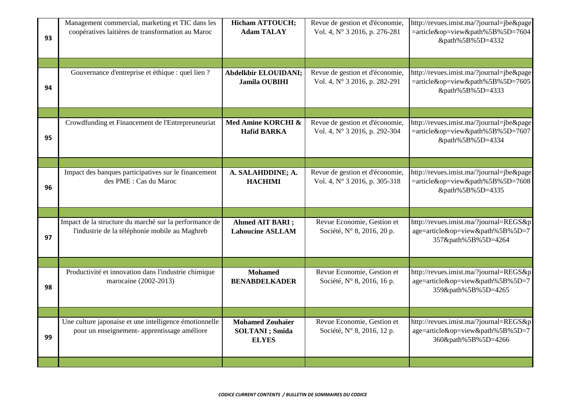| 93 | Management commercial, marketing et TIC dans les<br>coopératives laitières de transformation au Maroc    | <b>Hicham ATTOUCH;</b><br><b>Adam TALAY</b>                       | Revue de gestion et d'économie,<br>Vol. 4, N° 3 2016, p. 276-281 | http://revues.imist.ma/?journal=jbe&page<br>=article&op=view&path%5B%5D=7604<br>&path%5B%5D=4332  |
|----|----------------------------------------------------------------------------------------------------------|-------------------------------------------------------------------|------------------------------------------------------------------|---------------------------------------------------------------------------------------------------|
|    |                                                                                                          |                                                                   |                                                                  |                                                                                                   |
| 94 | Gouvernance d'entreprise et éthique : quel lien ?                                                        | Abdelkbir ELOUIDANI;<br><b>Jamila OUBIHI</b>                      | Revue de gestion et d'économie,<br>Vol. 4, N° 3 2016, p. 282-291 | http://revues.imist.ma/?journal=jbe&page<br>=article&op=view&path%5B%5D=7605<br>&path%5B%5D=4333  |
|    |                                                                                                          |                                                                   |                                                                  |                                                                                                   |
| 95 | Crowdfunding et Financement de l'Entrepreuneuriat                                                        | Med Amine KORCHI &<br><b>Hafid BARKA</b>                          | Revue de gestion et d'économie,<br>Vol. 4, N° 3 2016, p. 292-304 | http://revues.imist.ma/?journal=jbe&page<br>=article&op=view&path%5B%5D=7607<br>&path%5B%5D=4334  |
|    |                                                                                                          |                                                                   |                                                                  |                                                                                                   |
| 96 | Impact des banques participatives sur le financement<br>des PME : Cas du Maroc                           | A. SALAHDDINE; A.<br><b>HACHIMI</b>                               | Revue de gestion et d'économie,<br>Vol. 4, N° 3 2016, p. 305-318 | http://revues.imist.ma/?journal=jbe&page<br>=article&op=view&path%5B%5D=7608<br>&path%5B%5D=4335  |
|    |                                                                                                          |                                                                   |                                                                  |                                                                                                   |
| 97 | Impact de la structure du marché sur la performance de<br>l'industrie de la téléphonie mobile au Maghreb | Ahmed AIT BARI ;<br><b>Lahoucine ASLLAM</b>                       | Revue Economie, Gestion et<br>Société, N° 8, 2016, 20 p.         | http://revues.imist.ma/?journal=REGS&p<br>age=article&op=view&path%5B%5D=7<br>357&path%5B%5D=4264 |
|    |                                                                                                          |                                                                   |                                                                  |                                                                                                   |
| 98 | Productivité et innovation dans l'industrie chimique<br>marocaine (2002-2013)                            | <b>Mohamed</b><br><b>BENABDELKADER</b>                            | Revue Economie, Gestion et<br>Société, N° 8, 2016, 16 p.         | http://revues.imist.ma/?journal=REGS&p<br>age=article&op=view&path%5B%5D=7<br>359&path%5B%5D=4265 |
|    |                                                                                                          |                                                                   |                                                                  |                                                                                                   |
| 99 | Une culture japonaise et une intelligence émotionnelle<br>pour un enseignement- apprentissage améliore   | <b>Mohamed Zouhaier</b><br><b>SOLTANI</b> ; Smida<br><b>ELYES</b> | Revue Economie, Gestion et<br>Société, N° 8, 2016, 12 p.         | http://revues.imist.ma/?journal=REGS&p<br>age=article&op=view&path%5B%5D=7<br>360&path%5B%5D=4266 |
|    |                                                                                                          |                                                                   |                                                                  |                                                                                                   |